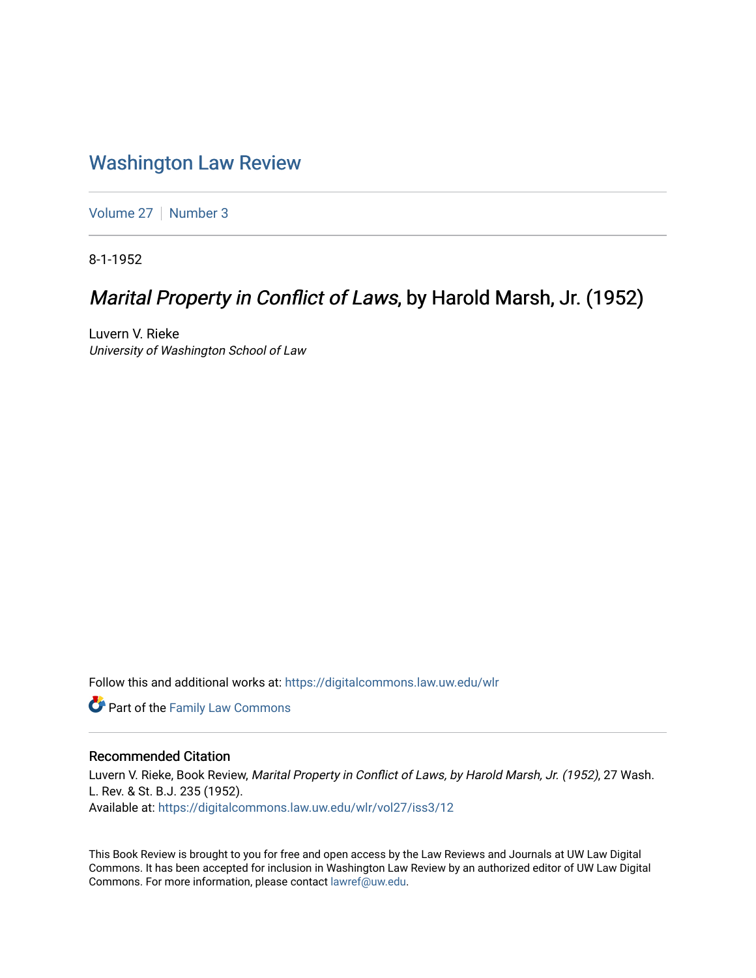## [Washington Law Review](https://digitalcommons.law.uw.edu/wlr)

[Volume 27](https://digitalcommons.law.uw.edu/wlr/vol27) | [Number 3](https://digitalcommons.law.uw.edu/wlr/vol27/iss3)

8-1-1952

# Marital Property in Conflict of Laws, by Harold Marsh, Jr. (1952)

Luvern V. Rieke University of Washington School of Law

Follow this and additional works at: [https://digitalcommons.law.uw.edu/wlr](https://digitalcommons.law.uw.edu/wlr?utm_source=digitalcommons.law.uw.edu%2Fwlr%2Fvol27%2Fiss3%2F12&utm_medium=PDF&utm_campaign=PDFCoverPages)

**Part of the Family Law Commons** 

### Recommended Citation

Luvern V. Rieke, Book Review, Marital Property in Conflict of Laws, by Harold Marsh, Jr. (1952), 27 Wash. L. Rev. & St. B.J. 235 (1952). Available at: [https://digitalcommons.law.uw.edu/wlr/vol27/iss3/12](https://digitalcommons.law.uw.edu/wlr/vol27/iss3/12?utm_source=digitalcommons.law.uw.edu%2Fwlr%2Fvol27%2Fiss3%2F12&utm_medium=PDF&utm_campaign=PDFCoverPages) 

This Book Review is brought to you for free and open access by the Law Reviews and Journals at UW Law Digital Commons. It has been accepted for inclusion in Washington Law Review by an authorized editor of UW Law Digital Commons. For more information, please contact [lawref@uw.edu](mailto:lawref@uw.edu).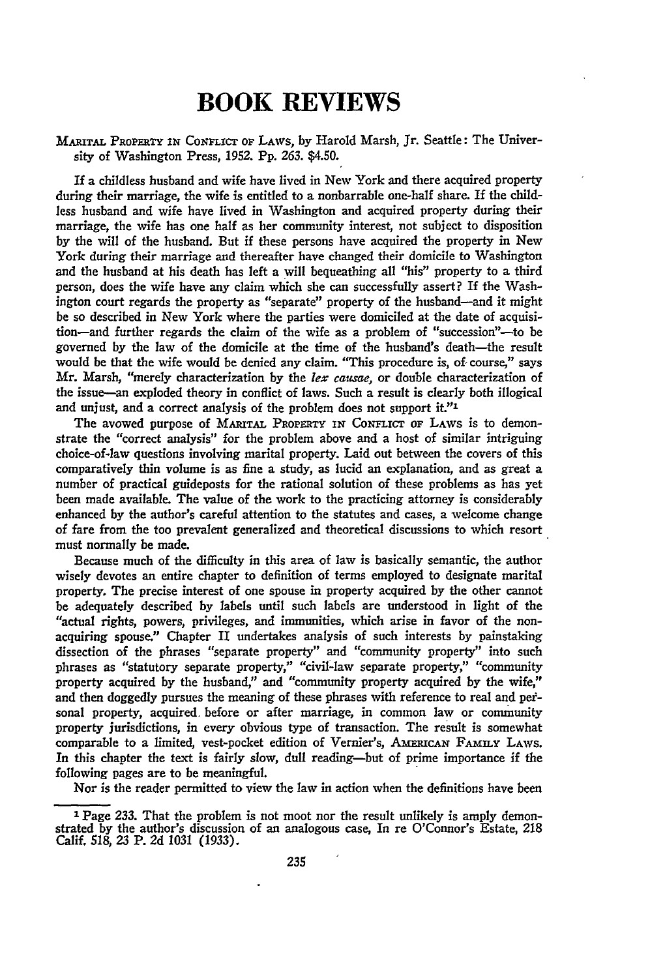### **BOOK REVIEWS**

#### **MARITAL PROPERTY IN CONFLICT OF LAWS, by Harold Marsh, Jr. Seattle: The Univer**sity of Washington Press, 1952. **Pp.** 263. \$4.50.

If a childless husband and wife have lived in New York and there acquired property during their marriage, the wife is entitled to a nonbarrable one-half share. If the childless husband and wife have lived in Washington and acquired property during their marriage, the wife has one half as her community interest, not subject to disposition by the will of the husband. But if these persons have acquired the property in New York during their marriage and thereafter have changed their domicile to Washington and the husband at his death has left a will bequeathing all "his" property to a third person, does the wife have any claim which she can successfully assert? If the Washington court regards the property as "separate" property of the husband-and it might be so described in New York where the parties were domiciled at the date of acquisition-and further regards the claim of the wife as a problem of "succession"---to be governed by the law of the domicile at the time of the husband's death-the result would be that the wife would be denied any claim. "This procedure is, *of-* course," says Mr. Marsh, "merely characterization by the *lex causae,* or double characterization of the issue-an exploded theory in conflict of laws. Such a result is clearly both illogical and unjust, and a correct analysis of the problem does not support it."1

The avowed purpose of MARITAL PROPERTY IN CONFLICT OF LAWS is to demonstrate the "correct analysis" for the problem above and a host of similar intriguing choice-of-law questions involving marital property. Laid out between the covers of this comparatively thin volume is as fine a study, as lucid an explanation, and as great a number of practical guideposts for the rational solution of these problems as has yet been made available. The value of the work to the practicing attorney is considerably enhanced by the author's careful attention to the statutes and cases, a welcome change of fare from the too prevalent generalized and theoretical discussions to which resort must normally be made.

Because much of the difficulty in this area of law is basically semantic, the author wisely devotes an entire chapter to definition of terms employed to designate marital property. The precise interest of one spouse in property acquired by the other cannot be adequately described by labels until such labels are understood in light of the "actual rights, powers, privileges, and immunities, which arise in favor of the nonacquiring spouse." Chapter II undertakes analysis of such interests **by** painstaking dissection of the phrases "separate property" and "community property" into such phrases as "statutory separate property," "civil-law separate property," "community property acquired **by** the husband," and "community property acquired **by** the wife," and then doggedly pursues the meaning of these phrases with reference to real and petsonal property, acquired. before or after marriage, in common law or community property jurisdictions, in every obvious type of transaction. The result is somewhat comparable to a limited, vest-pocket edition of Vernier's, AMERICAN FAMILY LAWS. In this chapter the text is fairly slow, dull reading-but of prime importance if the following pages are to be meaningful.

Nor is the reader permitted to view the law in action when the definitions have been

**Page 233.** That the problem is not moot nor the result unlikely is amply demonstrated **by** the author's discussion of an analogous case, In re O'Connor's Estate, **218** Calif. **518, 23** P. **2d** 1031 (1933).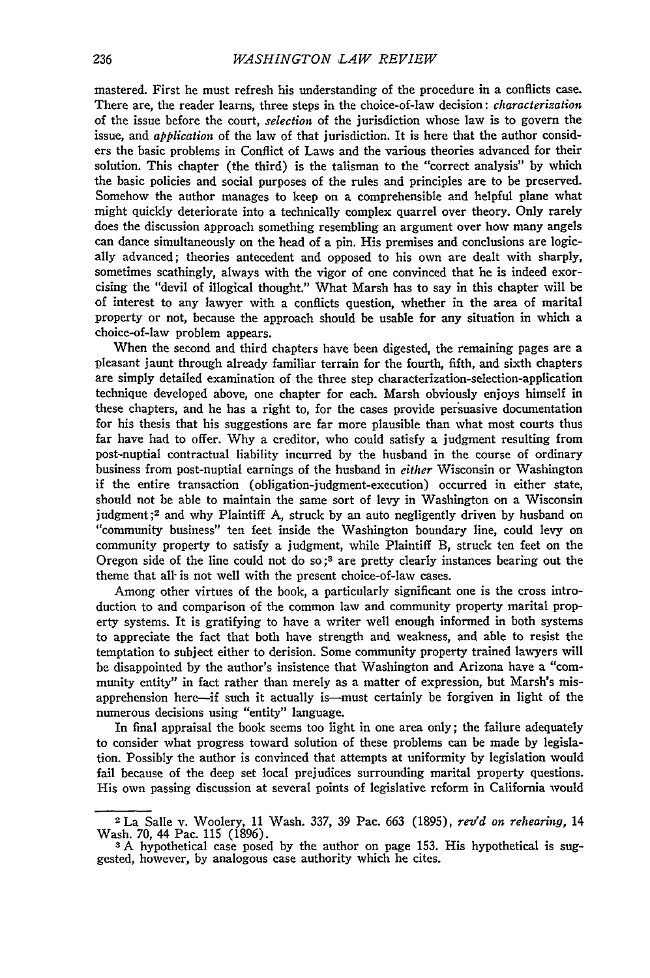mastered. First he must refresh his understanding of the procedure in a conflicts case. There are, the reader learns, three steps in the choice-of-law decision: *characterization* of the issue before the court, *selection* of the jurisdiction whose law is to govern the issue, and *application* of the law of that jurisdiction. It is here that the author considers the basic problems in Conflict of Laws and the various theories advanced for their solution. This chapter (the third) is the talisman to the "correct analysis" **by** which the basic policies and social purposes of the rules and principles are to be preserved. Somehow the author manages to keep on a comprehensible and helpful plane what might quickly deteriorate into a technically complex quarrel over theory. Only rarely does the discussion approach something resembling an argument over how many angels can dance simultaneously on the head of a pin. His premises and conclusions are logically advanced; theories antecedent and opposed to his own are dealt with sharply, sometimes scathingly, always with the vigor of one convinced that he is indeed exorcising the "devil of illogical thought." What Marsh has to say in this chapter will be of interest to any lawyer with a conflicts question, whether in the area of marital property or not, because the approach should be usable for any situation in which a choice-of-law problem appears.

When the second and third chapters have been digested, the remaining pages are a pleasant jaunt through already familiar terrain for the fourth, fifth, and sixth chapters are simply detailed examination of the three step characterization-selection-application technique developed above, one chapter for each. Marsh obviously enjoys himself in these chapters, and he has a right to, for the cases provide persuasive documentation for his thesis that his suggestions are far more plausible than what most courts thus far have had to offer. **Why** a creditor, who could satisfy a judgment resulting from post-nuptial contractual liability incurred **by** the husband in the course of ordinary business from post-nuptial earnings of the husband in *either* Wisconsin or Washington if the entire transaction (obligation-judgment-execution) occurred in either state, should not be able to maintain the same sort of levy in Washington on a Wisconsin judgment **;2** and why Plaintiff A, struck **by** an auto negligently driven **by** husband on "community business" ten feet inside the Washington boundary line, could levy on community property to satisfy a judgment, while Plaintiff B, struck ten feet on the Oregon side of the line could not do so;<sup>3</sup> are pretty clearly instances bearing out the theme that all- is not well with the present choice-of-law cases.

Among other virtues of the book, a particularly significant one is the cross introduction to and comparison of the common law and community property marital property systems. It is gratifying to have a writer well enough informed in both systems to appreciate the fact that both have strength and weakness, and able to resist the temptation to subject either to derision. Some community property trained lawyers will be disappointed **by** the author's insistence that Washington and Arizona have a "community entity" in fact rather than merely as a matter of expression, but Marsh's misapprehension here-if such it actually is-must certainly be forgiven in light of the numerous decisions using "entity" language.

In final appraisal the book seems too light in one area only; the failure adequately to consider what progress toward solution of these problems can be made **by** legislation. Possibly the author is convinced that attempts at uniformity **by** legislation would fail because of the deep set local prejudices surrounding marital property questions. His own passing discussion at several points of legislative reform in California would

**<sup>2</sup>**La Salle v. Woolery, 11 Wash. 337, 39 Pac. 663 (1895), *rev'd on rehearing,* 14 Wash. 70, 44 Pac. **115** (1896).

**<sup>3</sup> A** hypothetical case posed **by** the author on page **153.** His hypothetical is suggested, however, **by** analogous case authority which he cites.